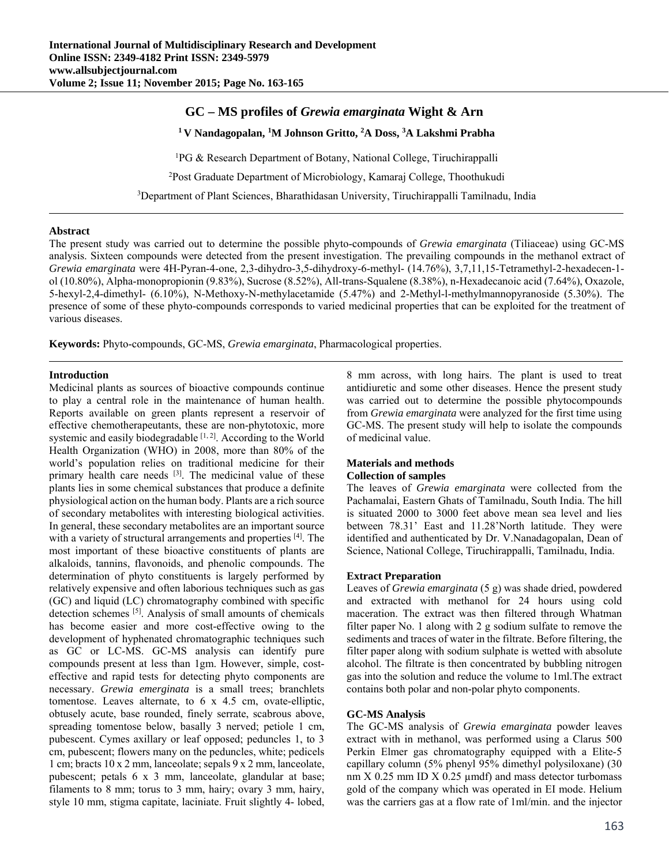# **GC – MS profiles of** *Grewia emarginata* **Wight & Arn**

**1 V Nandagopalan, 1 M Johnson Gritto, <sup>2</sup> A Doss, <sup>3</sup> A Lakshmi Prabha** 

1 PG & Research Department of Botany, National College, Tiruchirappalli

2 Post Graduate Department of Microbiology, Kamaraj College, Thoothukudi

3 Department of Plant Sciences, Bharathidasan University, Tiruchirappalli Tamilnadu, India

### **Abstract**

The present study was carried out to determine the possible phyto-compounds of *Grewia emarginata* (Tiliaceae) using GC-MS analysis. Sixteen compounds were detected from the present investigation. The prevailing compounds in the methanol extract of *Grewia emarginata* were 4H-Pyran-4-one, 2,3-dihydro-3,5-dihydroxy-6-methyl- (14.76%), 3,7,11,15-Tetramethyl-2-hexadecen-1 ol (10.80%), Alpha-monopropionin (9.83%), Sucrose (8.52%), All-trans-Squalene (8.38%), n-Hexadecanoic acid (7.64%), Oxazole, 5-hexyl-2,4-dimethyl- (6.10%), N-Methoxy-N-methylacetamide (5.47%) and 2-Methyl-l-methylmannopyranoside (5.30%). The presence of some of these phyto-compounds corresponds to varied medicinal properties that can be exploited for the treatment of various diseases.

**Keywords:** Phyto-compounds, GC-MS, *Grewia emarginata*, Pharmacological properties.

## **Introduction**

Medicinal plants as sources of bioactive compounds continue to play a central role in the maintenance of human health. Reports available on green plants represent a reservoir of effective chemotherapeutants, these are non-phytotoxic, more systemic and easily biodegradable [1,2]. According to the World Health Organization (WHO) in 2008, more than 80% of the world's population relies on traditional medicine for their primary health care needs [3]. The medicinal value of these plants lies in some chemical substances that produce a definite physiological action on the human body. Plants are a rich source of secondary metabolites with interesting biological activities. In general, these secondary metabolites are an important source with a variety of structural arrangements and properties <sup>[4]</sup>. The most important of these bioactive constituents of plants are alkaloids, tannins, flavonoids, and phenolic compounds. The determination of phyto constituents is largely performed by relatively expensive and often laborious techniques such as gas (GC) and liquid (LC) chromatography combined with specific detection schemes [5]. Analysis of small amounts of chemicals has become easier and more cost-effective owing to the development of hyphenated chromatographic techniques such as GC or LC-MS. GC-MS analysis can identify pure compounds present at less than 1gm. However, simple, costeffective and rapid tests for detecting phyto components are necessary. *Grewia emerginata* is a small trees; branchlets tomentose. Leaves alternate, to 6 x 4.5 cm, ovate-elliptic, obtusely acute, base rounded, finely serrate, scabrous above, spreading tomentose below, basally 3 nerved; petiole 1 cm, pubescent. Cymes axillary or leaf opposed; peduncles 1, to 3 cm, pubescent; flowers many on the peduncles, white; pedicels 1 cm; bracts 10 x 2 mm, lanceolate; sepals 9 x 2 mm, lanceolate, pubescent; petals 6 x 3 mm, lanceolate, glandular at base; filaments to 8 mm; torus to 3 mm, hairy; ovary 3 mm, hairy, style 10 mm, stigma capitate, laciniate. Fruit slightly 4- lobed,

8 mm across, with long hairs. The plant is used to treat antidiuretic and some other diseases. Hence the present study was carried out to determine the possible phytocompounds from *Grewia emarginata* were analyzed for the first time using GC-MS. The present study will help to isolate the compounds of medicinal value.

#### **Materials and methods Collection of samples**

The leaves of *Grewia emarginata* were collected from the Pachamalai, Eastern Ghats of Tamilnadu, South India. The hill is situated 2000 to 3000 feet above mean sea level and lies between 78.31' East and 11.28'North latitude. They were identified and authenticated by Dr. V.Nanadagopalan, Dean of Science, National College, Tiruchirappalli, Tamilnadu, India.

#### **Extract Preparation**

Leaves of *Grewia emarginata* (5 g) was shade dried, powdered and extracted with methanol for 24 hours using cold maceration. The extract was then filtered through Whatman filter paper No. 1 along with 2 g sodium sulfate to remove the sediments and traces of water in the filtrate. Before filtering, the filter paper along with sodium sulphate is wetted with absolute alcohol. The filtrate is then concentrated by bubbling nitrogen gas into the solution and reduce the volume to 1ml.The extract contains both polar and non-polar phyto components.

## **GC-MS Analysis**

The GC-MS analysis of *Grewia emarginata* powder leaves extract with in methanol, was performed using a Clarus 500 Perkin Elmer gas chromatography equipped with a Elite-5 capillary column (5% phenyl 95% dimethyl polysiloxane) (30 nm  $X$  0.25 mm ID  $X$  0.25  $\mu$ mdf) and mass detector turbomass gold of the company which was operated in EI mode. Helium was the carriers gas at a flow rate of 1ml/min. and the injector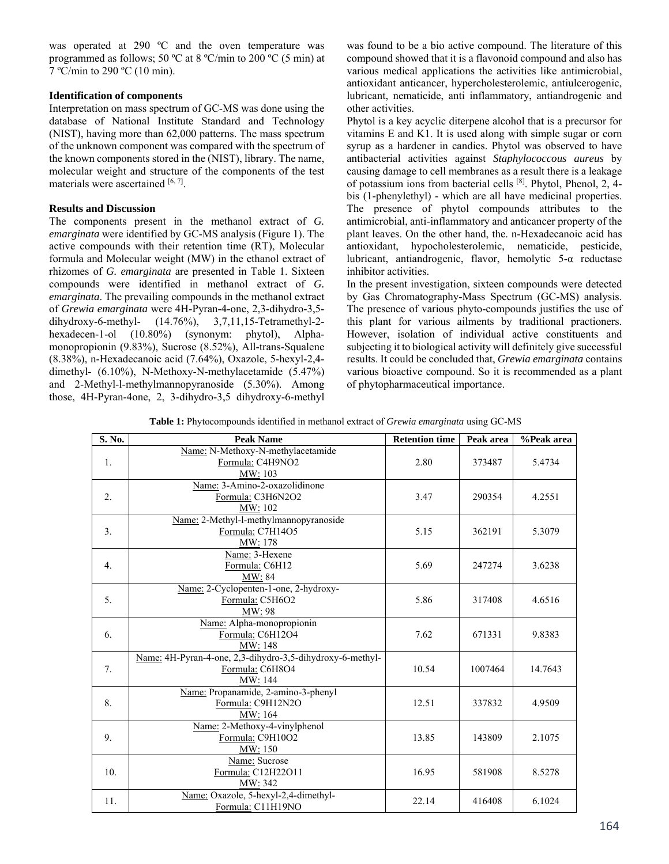was operated at 290 °C and the oven temperature was programmed as follows; 50 °C at 8 °C/min to 200 °C (5 min) at 7 ºC/min to 290 ºC (10 min).

## **Identification of components**

Interpretation on mass spectrum of GC-MS was done using the database of National Institute Standard and Technology (NIST), having more than 62,000 patterns. The mass spectrum of the unknown component was compared with the spectrum of the known components stored in the (NIST), library. The name, molecular weight and structure of the components of the test materials were ascertained [6, 7].

## **Results and Discussion**

The components present in the methanol extract of *G. emarginata* were identified by GC-MS analysis (Figure 1). The active compounds with their retention time (RT), Molecular formula and Molecular weight (MW) in the ethanol extract of rhizomes of *G. emarginata* are presented in Table 1. Sixteen compounds were identified in methanol extract of *G. emarginata*. The prevailing compounds in the methanol extract of *Grewia emarginata* were 4H-Pyran-4-one, 2,3-dihydro-3,5 dihydroxy-6-methyl- (14.76%), 3,7,11,15-Tetramethyl-2 hexadecen-1-ol (10.80%) (synonym: phytol), Alphamonopropionin (9.83%), Sucrose (8.52%), All-trans-Squalene (8.38%), n-Hexadecanoic acid (7.64%), Oxazole, 5-hexyl-2,4 dimethyl- (6.10%), N-Methoxy-N-methylacetamide (5.47%) and 2-Methyl-l-methylmannopyranoside (5.30%). Among those, 4H-Pyran-4one, 2, 3-dihydro-3,5 dihydroxy-6-methyl was found to be a bio active compound. The literature of this compound showed that it is a flavonoid compound and also has various medical applications the activities like antimicrobial, antioxidant anticancer, hypercholesterolemic, antiulcerogenic, lubricant, nematicide, anti inflammatory, antiandrogenic and other activities.

Phytol is a key acyclic diterpene alcohol that is a precursor for vitamins E and K1. It is used along with simple sugar or corn syrup as a hardener in candies. Phytol was observed to have antibacterial activities against *Staphylococcous aureus* by causing damage to cell membranes as a result there is a leakage of potassium ions from bacterial cells [8]. Phytol, Phenol, 2, 4 bis (1-phenylethyl) - which are all have medicinal properties. The presence of phytol compounds attributes to the antimicrobial, anti-inflammatory and anticancer property of the plant leaves. On the other hand, the. n-Hexadecanoic acid has antioxidant, hypocholesterolemic, nematicide, pesticide, lubricant, antiandrogenic, flavor, hemolytic  $5-\alpha$  reductase inhibitor activities.

In the present investigation, sixteen compounds were detected by Gas Chromatography-Mass Spectrum (GC-MS) analysis. The presence of various phyto-compounds justifies the use of this plant for various ailments by traditional practioners. However, isolation of individual active constituents and subjecting it to biological activity will definitely give successful results. It could be concluded that, *Grewia emarginata* contains various bioactive compound. So it is recommended as a plant of phytopharmaceutical importance.

| <b>Table 1:</b> Phytocompounds identified in methanol extract of <i>Grewia emarginata</i> using GC-MS |  |  |
|-------------------------------------------------------------------------------------------------------|--|--|
|-------------------------------------------------------------------------------------------------------|--|--|

| S. No.           | <b>Peak Name</b>                                                                        | <b>Retention time</b> | Peak area | %Peak area |
|------------------|-----------------------------------------------------------------------------------------|-----------------------|-----------|------------|
| 1.               | Name: N-Methoxy-N-methylacetamide<br>Formula: C4H9NO2<br>MW: 103                        | 2.80                  | 373487    | 5.4734     |
| 2.               | Name: 3-Amino-2-oxazolidinone<br>Formula: C3H6N2O2<br>MW: 102                           | 3.47                  | 290354    | 4.2551     |
| 3 <sub>1</sub>   | Name: 2-Methyl-l-methylmannopyranoside<br>Formula: C7H14O5<br>MW: 178                   | 5.15                  | 362191    | 5.3079     |
| $\overline{4}$ . | Name: 3-Hexene<br>Formula: C6H12<br>MW: 84                                              | 5.69                  | 247274    | 3.6238     |
| 5 <sub>1</sub>   | Name: 2-Cyclopenten-1-one, 2-hydroxy-<br>Formula: C5H6O2<br>MW: 98                      | 5.86                  | 317408    | 4.6516     |
| 6.               | Name: Alpha-monopropionin<br>Formula: C6H12O4<br>MW: 148                                | 7.62                  | 671331    | 9.8383     |
| 7.               | Name: 4H-Pyran-4-one, 2,3-dihydro-3,5-dihydroxy-6-methyl-<br>Formula: C6H8O4<br>MW: 144 | 10.54                 | 1007464   | 14.7643    |
| 8.               | Name: Propanamide, 2-amino-3-phenyl<br>Formula: C9H12N2O<br>MW: 164                     | 12.51                 | 337832    | 4.9509     |
| 9.               | Name: 2-Methoxy-4-vinylphenol<br>Formula: C9H10O2<br>MW: 150                            | 13.85                 | 143809    | 2.1075     |
| 10.              | Name: Sucrose<br>Formula: C12H22O11<br>MW: 342                                          | 16.95                 | 581908    | 8.5278     |
| 11.              | Name: Oxazole, 5-hexyl-2,4-dimethyl-<br>Formula: C11H19NO                               | 22.14                 | 416408    | 6.1024     |